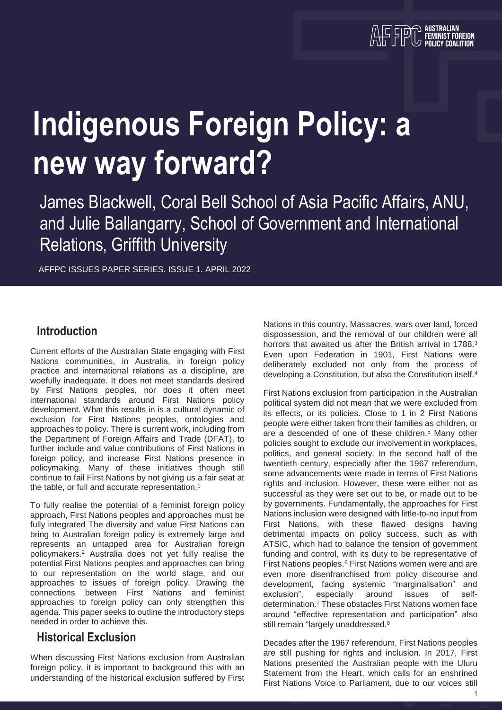# **Indigenous Foreign Policy: a new way forward?**

James Blackwell, Coral Bell School of Asia Pacific Affairs, ANU, and Julie Ballangarry, School of Government and International Relations, Griffith University

AFFPC ISSUES PAPER SERIES. ISSUE 1. APRIL 2022

#### **Introduction**

Current efforts of the Australian State engaging with First Nations communities, in Australia, in foreign policy practice and international relations as a discipline, are woefully inadequate. It does not meet standards desired by First Nations peoples, nor does it often meet international standards around First Nations policy development. What this results in is a cultural dynamic of exclusion for First Nations peoples, ontologies and approaches to policy. There is current work, including from the Department of Foreign Affairs and Trade (DFAT), to further include and value contributions of First Nations in foreign policy, and increase First Nations presence in policymaking. Many of these initiatives though still continue to fail First Nations by not giving us a fair seat at the table, or full and accurate representation.<sup>1</sup>

To fully realise the potential of a feminist foreign policy approach, First Nations peoples and approaches must be fully integrated The diversity and value First Nations can bring to Australian foreign policy is extremely large and represents an untapped area for Australian foreign policymakers.<sup>2</sup> Australia does not yet fully realise the potential First Nations peoples and approaches can bring to our representation on the world stage, and our approaches to issues of foreign policy. Drawing the connections between First Nations and feminist approaches to foreign policy can only strengthen this agenda. This paper seeks to outline the introductory steps needed in order to achieve this.

#### **Historical Exclusion**

When discussing First Nations exclusion from Australian foreign policy, it is important to background this with an understanding of the historical exclusion suffered by First Nations in this country. Massacres, wars over land, forced dispossession, and the removal of our children were all horrors that awaited us after the British arrival in 1788.<sup>3</sup> Even upon Federation in 1901, First Nations were deliberately excluded not only from the process of developing a Constitution, but also the Constitution itself.<sup>4</sup>

First Nations exclusion from participation in the Australian political system did not mean that we were excluded from its effects, or its policies. Close to 1 in 2 First Nations people were either taken from their families as children, or are a descended of one of these children.<sup>5</sup> Many other policies sought to exclude our involvement in workplaces, politics, and general society. In the second half of the twentieth century, especially after the 1967 referendum, some advancements were made in terms of First Nations rights and inclusion. However, these were either not as successful as they were set out to be, or made out to be by governments. Fundamentally, the approaches for First Nations inclusion were designed with little-to-no input from First Nations, with these flawed designs having detrimental impacts on policy success, such as with ATSIC, which had to balance the tension of government funding and control, with its duty to be representative of First Nations peoples.<sup>6</sup> First Nations women were and are even more disenfranchised from policy discourse and development, facing systemic "marginalisation" and exclusion", especially around issues of selfdetermination.<sup>7</sup> These obstacles First Nations women face around "effective representation and participation" also still remain "largely unaddressed.<sup>8</sup>

Decades after the 1967 referendum, First Nations peoples are still pushing for rights and inclusion. In 2017, First Nations presented the Australian people with the Uluru Statement from the Heart, which calls for an enshrined First Nations Voice to Parliament, due to our voices still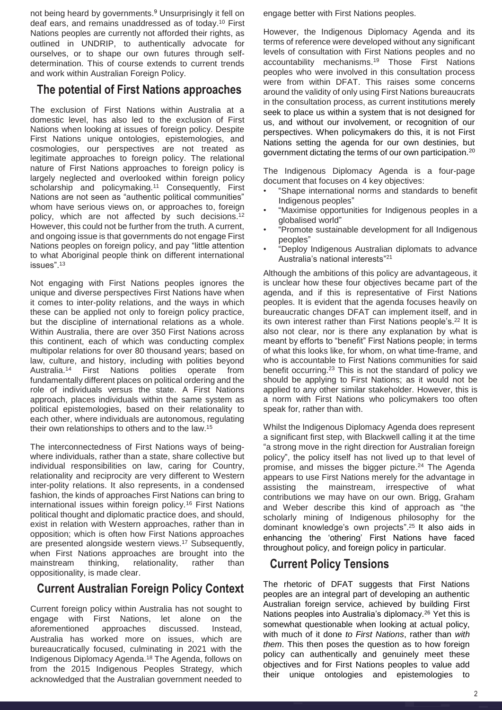not being heard by governments. <sup>9</sup> Unsurprisingly it fell on deaf ears, and remains unaddressed as of today. <sup>10</sup> First Nations peoples are currently not afforded their rights, as outlined in UNDRIP, to authentically advocate for ourselves, or to shape our own futures through selfdetermination. This of course extends to current trends and work within Australian Foreign Policy.

#### **The potential of First Nations approaches**

The exclusion of First Nations within Australia at a domestic level, has also led to the exclusion of First Nations when looking at issues of foreign policy. Despite First Nations unique ontologies, epistemologies, and cosmologies, our perspectives are not treated as legitimate approaches to foreign policy. The relational nature of First Nations approaches to foreign policy is largely neglected and overlooked within foreign policy scholarship and policymaking.<sup>11</sup> Consequently, First Nations are not seen as "authentic political communities" whom have serious views on, or approaches to, foreign policy, which are not affected by such decisions.<sup>12</sup> However, this could not be further from the truth. A current, and ongoing issue is that governments do not engage First Nations peoples on foreign policy, and pay "little attention to what Aboriginal people think on different international issues". 13

Not engaging with First Nations peoples ignores the unique and diverse perspectives First Nations have when it comes to inter-polity relations, and the ways in which these can be applied not only to foreign policy practice, but the discipline of international relations as a whole. Within Australia, there are over 350 First Nations across this continent, each of which was conducting complex multipolar relations for over 80 thousand years; based on law, culture, and history, including with polities beyond Australia. <sup>14</sup> First Nations polities operate from fundamentally different places on political ordering and the role of individuals versus the state. A First Nations approach, places individuals within the same system as political epistemologies, based on their relationality to each other, where individuals are autonomous, regulating their own relationships to others and to the law. 15

The interconnectedness of First Nations ways of beingwhere individuals, rather than a state, share collective but individual responsibilities on law, caring for Country, relationality and reciprocity are very different to Western inter-polity relations. It also represents, in a condensed fashion, the kinds of approaches First Nations can bring to international issues within foreign policy.<sup>16</sup> First Nations political thought and diplomatic practice does, and should, exist in relation with Western approaches, rather than in opposition; which is often how First Nations approaches are presented alongside western views.<sup>17</sup> Subsequently, when First Nations approaches are brought into the mainstream thinking, relationality, rather than oppositionality, is made clear.

#### **Current Australian Foreign Policy Context**

Current foreign policy within Australia has not sought to engage with First Nations, let alone on the aforementioned approaches discussed. Instead, Australia has worked more on issues, which are bureaucratically focused, culminating in 2021 with the Indigenous Diplomacy Agenda. <sup>18</sup> The Agenda, follows on from the 2015 Indigenous Peoples Strategy, which acknowledged that the Australian government needed to

engage better with First Nations peoples.

However, the Indigenous Diplomacy Agenda and its terms of reference were developed without any significant levels of consultation with First Nations peoples and no accountability mechanisms. <sup>19</sup> Those First Nations peoples who were involved in this consultation process were from within DFAT. This raises some concerns around the validity of only using First Nations bureaucrats in the consultation process, as current institutions merely seek to place us within a system that is not designed for us, and without our involvement, or recognition of our perspectives. When policymakers do this, it is not First Nations setting the agenda for our own destinies, but government dictating the terms of our own participation.<sup>20</sup>

The Indigenous Diplomacy Agenda is a four-page document that focuses on 4 key objectives:

- "Shape international norms and standards to benefit Indigenous peoples"
- "Maximise opportunities for Indigenous peoples in a globalised world"
- "Promote sustainable development for all Indigenous peoples"
- "Deploy Indigenous Australian diplomats to advance Australia's national interests" 21

Although the ambitions of this policy are advantageous, it is unclear how these four objectives became part of the agenda, and if this is representative of First Nations peoples. It is evident that the agenda focuses heavily on bureaucratic changes DFAT can implement itself, and in its own interest rather than First Nations people's. 22 It is also not clear, nor is there any explanation by what is meant by efforts to "benefit" First Nations people; in terms of what this looks like, for whom, on what time-frame, and who is accountable to First Nations communities for said benefit occurring.<sup>23</sup> This is not the standard of policy we should be applying to First Nations; as it would not be applied to any other similar stakeholder. However, this is a norm with First Nations who policymakers too often speak for, rather than with.

Whilst the Indigenous Diplomacy Agenda does represent a significant first step, with Blackwell calling it at the time "a strong move in the right direction for Australian foreign policy", the policy itself has not lived up to that level of promise, and misses the bigger picture.<sup>24</sup> The Agenda appears to use First Nations merely for the advantage in assisting the mainstream, irrespective of what contributions we may have on our own. Brigg, Graham and Weber describe this kind of approach as "the scholarly mining of Indigenous philosophy for the dominant knowledge's own projects".<sup>25</sup> It also aids in enhancing the 'othering' First Nations have faced throughout policy, and foreign policy in particular.

#### **Current Policy Tensions**

The rhetoric of DFAT suggests that First Nations peoples are an integral part of developing an authentic Australian foreign service, achieved by building First Nations peoples into Australia's diplomacy.<sup>26</sup> Yet this is somewhat questionable when looking at actual policy, with much of it done *to First Nations*, rather than *with them*. This then poses the question as to how foreign policy can authentically and genuinely meet these objectives and for First Nations peoples to value add their unique ontologies and epistemologies to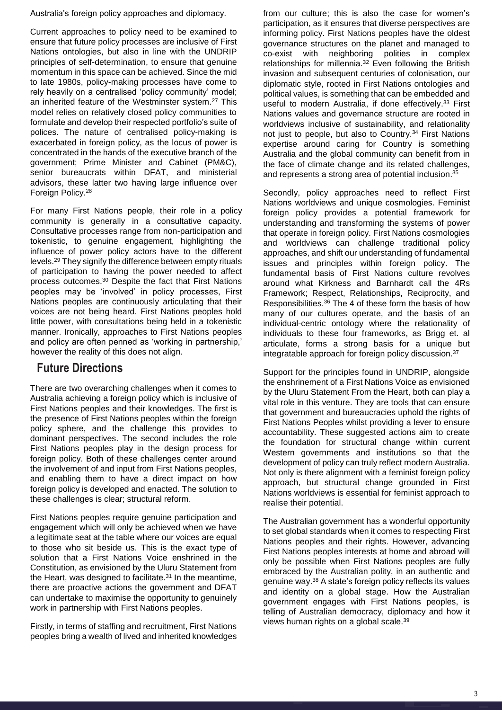Australia's foreign policy approaches and diplomacy.

Current approaches to policy need to be examined to ensure that future policy processes are inclusive of First Nations ontologies, but also in line with the UNDRIP principles of self-determination, to ensure that genuine momentum in this space can be achieved. Since the mid to late 1980s, policy-making processes have come to rely heavily on a centralised 'policy community' model; an inherited feature of the Westminster system.<sup>27</sup> This model relies on relatively closed policy communities to formulate and develop their respected portfolio's suite of polices. The nature of centralised policy-making is exacerbated in foreign policy, as the locus of power is concentrated in the hands of the executive branch of the government; Prime Minister and Cabinet (PM&C), senior bureaucrats within DFAT, and ministerial advisors, these latter two having large influence over Foreign Policy.<sup>28</sup>

For many First Nations people, their role in a policy community is generally in a consultative capacity. Consultative processes range from non-participation and tokenistic, to genuine engagement, highlighting the influence of power policy actors have to the different levels.<sup>29</sup> They signify the difference between empty rituals of participation to having the power needed to affect process outcomes.<sup>30</sup> Despite the fact that First Nations peoples may be 'involved' in policy processes, First Nations peoples are continuously articulating that their voices are not being heard. First Nations peoples hold little power, with consultations being held in a tokenistic manner. Ironically, approaches to First Nations peoples and policy are often penned as 'working in partnership,' however the reality of this does not align.

#### **Future Directions**

There are two overarching challenges when it comes to Australia achieving a foreign policy which is inclusive of First Nations peoples and their knowledges. The first is the presence of First Nations peoples within the foreign policy sphere, and the challenge this provides to dominant perspectives. The second includes the role First Nations peoples play in the design process for foreign policy. Both of these challenges center around the involvement of and input from First Nations peoples, and enabling them to have a direct impact on how foreign policy is developed and enacted. The solution to these challenges is clear; structural reform.

First Nations peoples require genuine participation and engagement which will only be achieved when we have a legitimate seat at the table where our voices are equal to those who sit beside us. This is the exact type of solution that a First Nations Voice enshrined in the Constitution, as envisioned by the Uluru Statement from the Heart, was designed to facilitate.<sup>31</sup> In the meantime, there are proactive actions the government and DFAT can undertake to maximise the opportunity to genuinely work in partnership with First Nations peoples.

Firstly, in terms of staffing and recruitment, First Nations peoples bring a wealth of lived and inherited knowledges

from our culture; this is also the case for women's participation, as it ensures that diverse perspectives are informing policy. First Nations peoples have the oldest governance structures on the planet and managed to co-exist with neighboring polities in complex relationships for millennia. <sup>32</sup> Even following the British invasion and subsequent centuries of colonisation, our diplomatic style, rooted in First Nations ontologies and political values, is something that can be embedded and useful to modern Australia, if done effectively. <sup>33</sup> First Nations values and governance structure are rooted in worldviews inclusive of sustainability, and relationality not just to people, but also to Country. <sup>34</sup> First Nations expertise around caring for Country is something Australia and the global community can benefit from in the face of climate change and its related challenges, and represents a strong area of potential inclusion. 35

Secondly, policy approaches need to reflect First Nations worldviews and unique cosmologies. Feminist foreign policy provides a potential framework for understanding and transforming the systems of power that operate in foreign policy. First Nations cosmologies and worldviews can challenge traditional policy approaches, and shift our understanding of fundamental issues and principles within foreign policy. The fundamental basis of First Nations culture revolves around what Kirkness and Barnhardt call the 4Rs Framework; Respect, Relationships, Reciprocity, and Responsibilities.<sup>36</sup> The 4 of these form the basis of how many of our cultures operate, and the basis of an individual-centric ontology where the relationality of individuals to these four frameworks, as Brigg et. al articulate, forms a strong basis for a unique but integratable approach for foreign policy discussion.<sup>37</sup>

Support for the principles found in UNDRIP, alongside the enshrinement of a First Nations Voice as envisioned by the Uluru Statement From the Heart, both can play a vital role in this venture. They are tools that can ensure that government and bureaucracies uphold the rights of First Nations Peoples whilst providing a lever to ensure accountability. These suggested actions aim to create the foundation for structural change within current Western governments and institutions so that the development of policy can truly reflect modern Australia. Not only is there alignment with a feminist foreign policy approach, but structural change grounded in First Nations worldviews is essential for feminist approach to realise their potential.

The Australian government has a wonderful opportunity to set global standards when it comes to respecting First Nations peoples and their rights. However, advancing First Nations peoples interests at home and abroad will only be possible when First Nations peoples are fully embraced by the Australian polity, in an authentic and genuine way. <sup>38</sup> A state's foreign policy reflects its values and identity on a global stage. How the Australian government engages with First Nations peoples, is telling of Australian democracy, diplomacy and how it views human rights on a global scale.<sup>39</sup>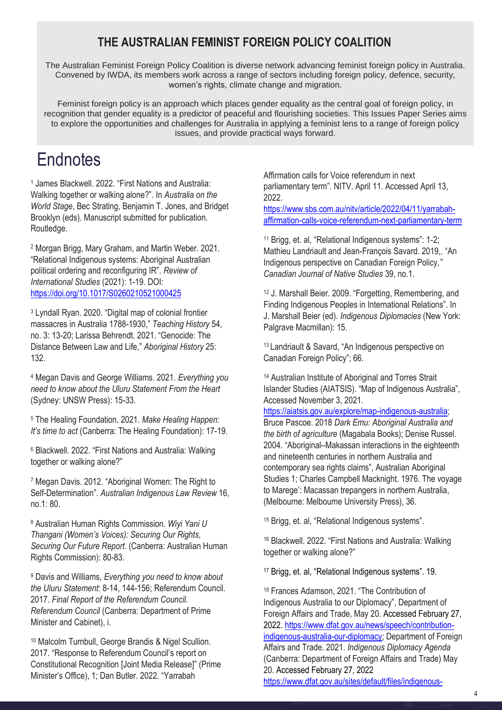### **THE AUSTRALIAN FEMINIST FOREIGN POLICY COALITION**

The Australian Feminist Foreign Policy Coalition is diverse network advancing feminist foreign policy in Australia. Convened by IWDA, its members work across a range of sectors including foreign policy, defence, security, women's rights, climate change and migration.

Feminist foreign policy is an approach which places gender equality as the central goal of foreign policy, in recognition that gender equality is a predictor of peaceful and flourishing societies. This Issues Paper Series aims to explore the opportunities and challenges for Australia in applying a feminist lens to a range of foreign policy issues, and provide practical ways forward.

## **Endnotes**

<sup>1</sup> James Blackwell. 2022. "First Nations and Australia: Walking together or walking alone?". In *Australia on the World Stage*, Bec Strating, Benjamin T. Jones, and Bridget Brooklyn (eds). Manuscript submitted for publication. Routledge.

<sup>2</sup> Morgan Brigg, Mary Graham, and Martin Weber. 2021. "Relational Indigenous systems: Aboriginal Australian political ordering and reconfiguring IR". *Review of International Studies* (2021): 1-19. DOI: <https://doi.org/10.1017/S0260210521000425>

<sup>3</sup> Lyndall Ryan. 2020. "Digital map of colonial frontier massacres in Australia 1788-1930," *Teaching History* 54, no. 3: 13-20; Larissa Behrendt. 2021. "Genocide: The Distance Between Law and Life," *Aboriginal History* 25: 132.

<sup>4</sup> Megan Davis and George Williams. 2021. *Everything you need to know about the Uluru Statement From the Heart* (Sydney: UNSW Press): 15-33.

<sup>5</sup> The Healing Foundation. 2021. *Make Healing Happen: It's time to act* (Canberra: The Healing Foundation): 17-19.

<sup>6</sup> Blackwell. 2022. "First Nations and Australia: Walking together or walking alone?"

<sup>7</sup> Megan Davis. 2012. "Aboriginal Women: The Right to Self-Determination". *Australian Indigenous Law Review* 16, no.1: 80.

<sup>8</sup> Australian Human Rights Commission. *Wiyi Yani U Thangani (Women's Voices): Securing Our Rights, Securing Our Future Report*. (Canberra: Australian Human Rights Commission): 80-83.

<sup>9</sup> Davis and Williams, *Everything you need to know about the Uluru Statement*: 8-14, 144-156; Referendum Council. 2017. *Final Report of the Referendum Council. Referendum Council* (Canberra: Department of Prime Minister and Cabinet), i.

<sup>10</sup> Malcolm Turnbull, George Brandis & Nigel Scullion. 2017. "Response to Referendum Council's report on Constitutional Recognition [Joint Media Release]" (Prime Minister's Office), 1; Dan Butler. 2022. "Yarrabah

Affirmation calls for Voice referendum in next parliamentary term". NITV. April 11. Accessed April 13, 2022.

[https://www.sbs.com.au/nitv/article/2022/04/11/yarrabah](https://www.sbs.com.au/nitv/article/2022/04/11/yarrabah-affirmation-calls-voice-referendum-next-parliamentary-term)[affirmation-calls-voice-referendum-next-parliamentary-term](https://www.sbs.com.au/nitv/article/2022/04/11/yarrabah-affirmation-calls-voice-referendum-next-parliamentary-term)

<sup>11</sup> Brigg, et. al, "Relational Indigenous systems": 1-2; Mathieu Landriault and Jean-François Savard. 2019,. "An Indigenous perspective on Canadian Foreign Policy*," Canadian Journal of Native Studies* 39, no.1.

<sup>12</sup> J. Marshall Beier. 2009. "Forgetting, Remembering, and Finding Indigenous Peoples in International Relations". In J. Marshall Beier (ed). *Indigenous Diplomacies* (New York: Palgrave Macmillan): 15.

<sup>13</sup> Landriault & Savard, "An Indigenous perspective on Canadian Foreign Policy": 66.

<sup>14</sup> Australian Institute of Aboriginal and Torres Strait Islander Studies (AIATSIS). "Map of Indigenous Australia", Accessed November 3, 2021.

[https://aiatsis.gov.au/explore/map-indigenous-australia;](https://aiatsis.gov.au/explore/map-indigenous-australia) Bruce Pascoe. 2018 *Dark Emu: Aboriginal Australia and the birth of agriculture* (Magabala Books); Denise Russel. 2004. "Aboriginal–Makassan interactions in the eighteenth and nineteenth centuries in northern Australia and contemporary sea rights claims", Australian Aboriginal Studies 1; Charles Campbell Macknight. 1976. The voyage to Marege': Macassan trepangers in northern Australia, (Melbourne: Melbourne University Press), 36.

<sup>15</sup> Brigg, et. al, "Relational Indigenous systems".

<sup>16</sup> Blackwell. 2022. "First Nations and Australia: Walking together or walking alone?"

<sup>17</sup> Brigg, et. al, "Relational Indigenous systems". 19.

<sup>18</sup> Frances Adamson, 2021. "The Contribution of Indigenous Australia to our Diplomacy", Department of Foreign Affairs and Trade, May 20. Accessed February 27, 2022. [https://www.dfat.gov.au/news/speech/contribution](https://www.dfat.gov.au/news/speech/contribution-indigenous-australia-our-diplomacy)[indigenous-australia-our-diplomacy;](https://www.dfat.gov.au/news/speech/contribution-indigenous-australia-our-diplomacy) Department of Foreign Affairs and Trade. 2021. *Indigenous Diplomacy Agenda* (Canberra: Department of Foreign Affairs and Trade) May 20. Accessed February 27, 2022 [https://www.dfat.gov.au/sites/default/files/indigenous-](https://www.dfat.gov.au/sites/default/files/indigenous-diplomacy-agenda.pdf)